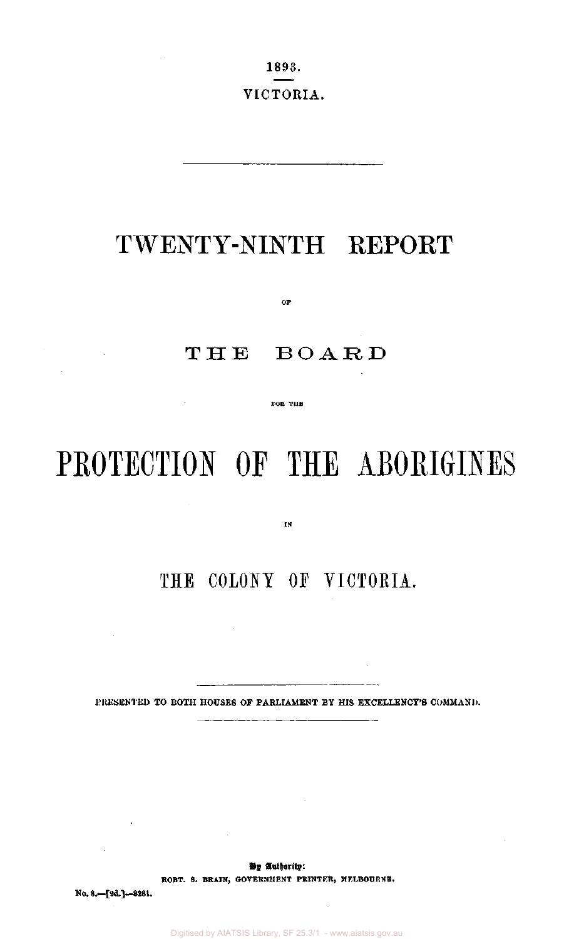1893. VICTORIA.

## TWENTY-NINTH REPORT

THE BOAR D

**oF** 

**FOR THE** 

# PROTECTION OF THE ABORIGINES

**IN** 

## THE COLONY OF VICTORIA.

 $\sim 10^{11}$ 

 $\sim$ 

PRESENTED TO BOTH HOUSES OF PARLIAMENT BY HIS EXCELLENCY'S COMMAND.

 $\sim 10^7$ 

 $\sim$   $\sim$  $- - -$ 

By Authority: **ROBT. 8. BRAIN, GOVERNMENT PRINTER, MELBOURNE.** 

No. 8.—[9d.]—8281.

 $\sim 10^{-11}$ 

 $\sim$ 

 $\mathcal{A}^{\mathcal{A}}$ 

 $\sim 10^{-1}$ 

 $\sim 10^{-11}$ 

Digitised by AIATSIS Library, SF 25.3/1 - www.aiatsis.gov.au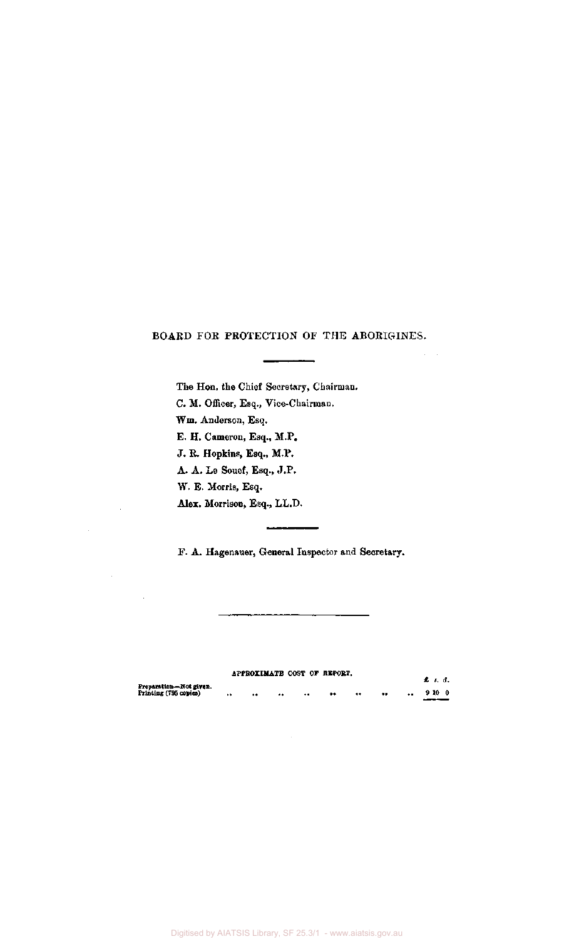## BOARD FOR PROTECTION OF THE ABORIGINES.

The Hon. the Chief Secretary, Chairman. C. M. Officer, Esq., Vice-Chairman. Wm. Anderson, Esq. E. H. Cameron, Esq., M.P. J. R. Hopkins, Esq., M.P. A. A. Le Souef, Esq., J.P. W. E. Morris, Esq. Alex. Morrison, Esq., LL.D.

F. A. Hagenauer, General Inspector and Secretary.

|                                                 |               |                      | APPROXIMATE COST OF REPORT. |           |                 | £ 8 d. |  |
|-------------------------------------------------|---------------|----------------------|-----------------------------|-----------|-----------------|--------|--|
| Preparation—Not given.<br>Printing (795 copies) | <br>$\bullet$ | <br>$\bullet\bullet$ | $^{\tiny{\textbullet}}$     | $\bullet$ | <br>$\bullet$ . | 9100   |  |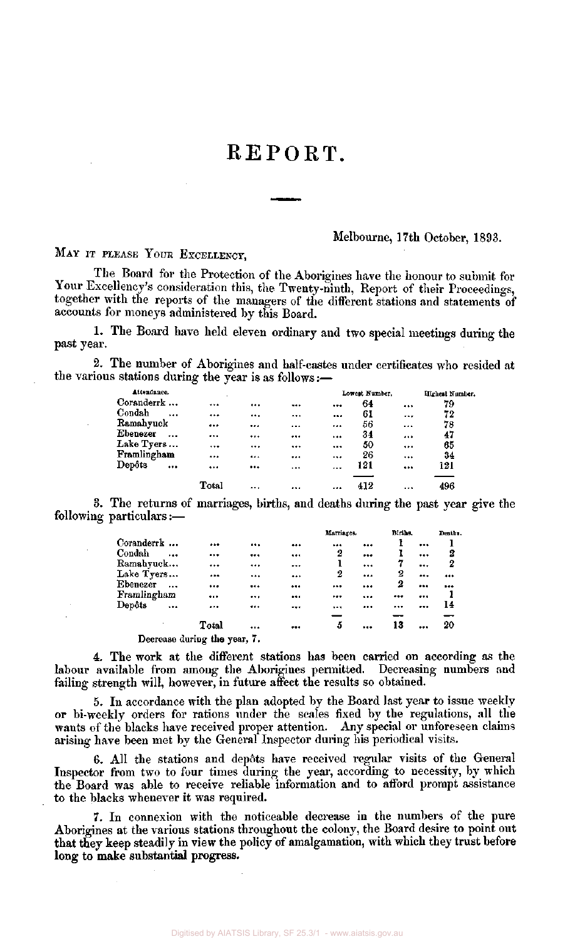## REPORT.

## Melbourne, 17th October, 1893.

## MAY IT PLEASE YOUR EXCELLENCY.

The Board for the Protection of the Aborigines have the honour to submit for Your Excellency's consideration this, the Twenty-ninth, Report of their Proceedings, together with the reports of the managers of the different stations and statements of accounts for moneys administered by this Board.

1. The Board have held eleven ordinary and two special meetings during the past year.

2. The number of Aborigines and half-castes under certificates who resided at the various stations during the year is as follows:—

| Attendance.         |       |          |          |          | Lowest Number, |          | Highest Number. |
|---------------------|-------|----------|----------|----------|----------------|----------|-----------------|
| Coranderrk          |       |          |          |          | 64             |          | 79              |
| Condah<br>$\ddotsc$ |       |          |          |          | 61             | $\cdots$ | 72              |
| Ramahyuck           |       |          |          |          | 56             | $\cdots$ | 78              |
| Ebenezer<br>$\sim$  |       |          |          |          | 34             |          | 47              |
| Lake Tyers          |       | $\cdots$ |          | $\cdots$ | 50             |          | 65              |
| Framlingham         |       |          | $\cdots$ |          | 26             |          | 34              |
| Depôts<br>$\ddotsc$ |       |          |          | $\cdots$ | 121            |          | 121             |
|                     | Total |          |          |          | 412            |          | 496             |

3. The returns of marriages, births, and deaths during the past year give the following particulars:—

|                                         |           |                              |        | Marriages. | Births. |          | Deaths.                 |
|-----------------------------------------|-----------|------------------------------|--------|------------|---------|----------|-------------------------|
| Coranderrk                              |           |                              | <br>   |            |         |          |                         |
| Condah                                  | $\ddotsc$ |                              | <br>   | 2          |         |          | 2                       |
| Ramahyuck                               |           |                              | <br>   | ı          |         | $\cdots$ | 2                       |
| Lake Tyers                              |           |                              | <br>$$ | 2          | <br>2   |          | $\bullet\bullet\bullet$ |
| Ebenezer                                |           |                              | <br>   |            | <br>2   |          |                         |
| Framlingham                             |           |                              | <br>   |            | <br>    |          |                         |
| $\bold{ \rm \textbf{D}ep\textbf{0}}$ ts | $\ddotsc$ |                              | <br>   |            | <br>    |          | 14                      |
|                                         |           |                              |        |            |         |          |                         |
|                                         |           | Total                        | <br>   | 5          | <br>13  |          | 20                      |
|                                         |           | Decrease during the year, 7. |        |            |         |          |                         |

4. The work at the different stations has been carried on according as the labour available from among the Aborigines permitted. Decreasing numbers and failing strength will, however, in future affect the results so obtained.

5. In accordance with the plan adopted by the Board last year to issue weekly or bi-weekly orders for rations under the scales fixed by the regulations, all the wants of the blacks have received proper attention. Any special or unforeseen claims arising have been met by the General Inspector during his periodical visits.

6. All the stations and depots have received regular visits of the General Inspector from two to four times during the year, according to necessity, by which the Board was able to receive reliable information and to afford prompt assistance to the blacks whenever it was required.

7. In connexion with the noticeable decrease in the numbers of the pure Aborigines at the various stations throughout the colony, the Board desire to point out **that** they keep steadily in view the policy of amalgamation, with which they **trust** before **long to make substantial progress-**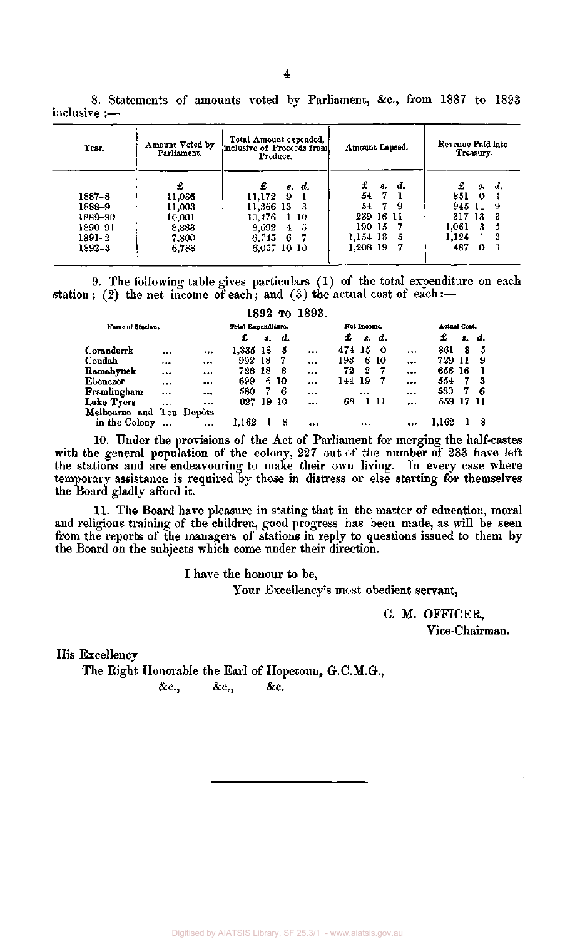| Year.   | Amount Voted by<br>Parliament. | Total Amount expended,<br>inclusive of Proceeds from<br>Produce. | Amount Lapsed. | Revenue Paid into<br>Treasury. |  |  |
|---------|--------------------------------|------------------------------------------------------------------|----------------|--------------------------------|--|--|
|         | £                              | £<br>s. d.                                                       | £<br>s. d.     | £<br>α.<br>з.                  |  |  |
| 1887–8  | 11,036                         | 11.172<br>9                                                      | 547            | 851<br>0                       |  |  |
| 1888–9  | 11,003                         | 11,366 13<br>3                                                   | 54 7 9         | 945 11<br>-9                   |  |  |
| 1889–90 | 10,001                         | 10,476<br>1 10                                                   | 239 16 11      | 317<br>-3<br>13                |  |  |
| 1890-91 | 8,883                          | 8,692<br>$\frac{5}{2}$<br>4                                      | 190 15<br>7    | 1.061<br>3<br>5                |  |  |
| 1891–2  | 7,800                          | 6.745<br>-6                                                      | 1,154 18<br>5  | 1.124<br>3                     |  |  |
| 1892–3  | 6,788                          | 6.057 10 10                                                      | 1.208 19       | 487<br>-3<br>0                 |  |  |

8. Statements of amounts voted by Parliament, &c, from 1887 to 1893 inclusive :—

9. The following table gives particulars (1) of the total expenditure on each station; (2) the net income of each; and (3) the actual cost of each:-

|                          |           |          |                    |    |      | 1892 то 1893. |        |             |       |          |              |      |       |
|--------------------------|-----------|----------|--------------------|----|------|---------------|--------|-------------|-------|----------|--------------|------|-------|
| Name of Station.         |           |          | Total Expenditure. |    |      |               |        | Net Income. |       |          | Actual Cost. |      |       |
|                          |           |          | £                  | 8. | d.   |               | £      |             | s. d. |          | £            |      | s. d. |
| Coranderrk               |           | $\cdots$ | 1,335 18           |    | - 5  |               | 474 15 |             | - 0   | $\cdots$ | 861          | 3    | -5    |
| Condah                   |           |          | 992 18             |    | -7   | $\cdots$      | 193    |             | 6 10  | $\cdots$ | 729          | 11   | 9     |
| Ramabyuck                |           |          | 728 18             |    | -8   |               | 72     | 2           | -7    | $\cdots$ | 656          | - 16 |       |
| Ebenezer                 | $\cdots$  |          | 699                |    | 6 10 | $\cdots$      | 144 19 |             | -7    |          | 554          | 7    | -3    |
| Framlingham              | $\cdots$  |          | 580                | 7  | - 6  |               |        |             |       |          | 580          | 7    | -6    |
| Lake Tyers               |           | $\cdots$ | 627 19             |    | -10  |               | 68     |             | 1 11  | $\cdots$ | 559 17 11    |      |       |
| Melbourne and Ten Depôts |           |          |                    |    |      |               |        |             |       |          |              |      |       |
| in the Colony            | $\ddotsc$ | $\cdots$ | 1,162              |    | 8    |               |        |             |       |          |              |      |       |

10. Under the provisions of the Act of Parliament for merging the half-castes with the general population of the colony, 227 out of the number of 233 have left the stations and are endeavouring to make their own living. In every case where temporary assistance is required by those in distress or else starting for themselves the Board gladly afford it.

11. The Board have pleasure in stating that in the matter of education, moral and religious training of the children, good progress has been made, as will be seen from the reports of the managers of stations in reply to questions issued to them by the Board on the subjects which come under their direction.

I have the honour to be.

Your Excellency's most obedient servant,

C. M. OFFICER, Vice-Chairman.

His Excellency

The Right Honorable the Earl of Hopetoun, G.C.M.G., &c, &c, &c.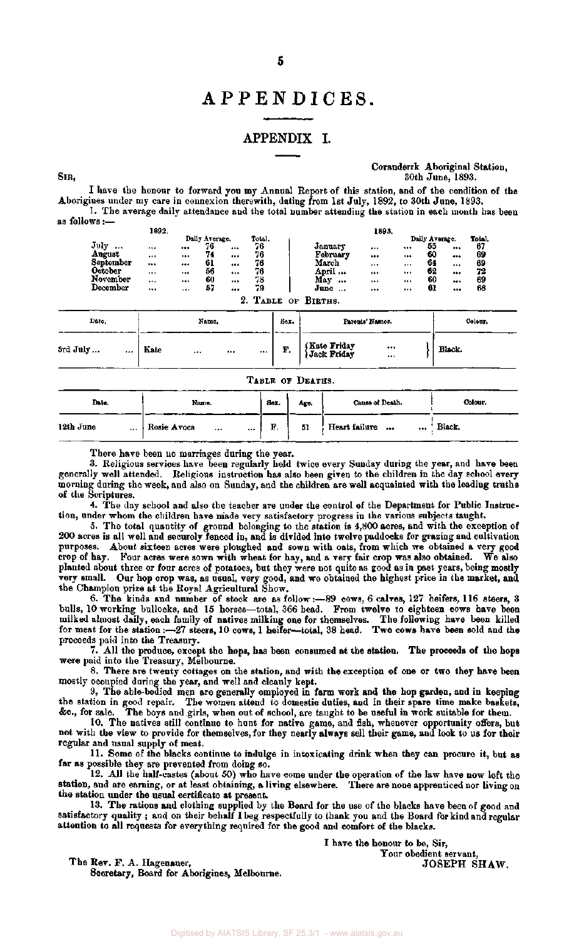## APPENDICES

## APPENDIX I.

Coranderrk Aboriginal Station, 30th June, 1893.

I have the honour to forward you my Annual Report of this station, and of the condition of the Aborigines under my care in connexion therewith, dating from 1st July, 1892, to 30th June, 1893. 1. The average daily attendance and the total number attending the station in each month has been as follo

|           | 1892.    |            |                |          |        |                  | 1893. |          |                |        |
|-----------|----------|------------|----------------|----------|--------|------------------|-------|----------|----------------|--------|
|           |          |            | Daily Average. |          | Total. |                  |       |          | Daily Average. | Total. |
| July<br>  |          |            | 76             |          | 76     | January          |       |          | 55             | <br>67 |
| August    |          |            | 74             | $\cdots$ | 76     | February         |       |          | 60             | <br>69 |
| September |          |            | 61             |          | 76     | March            |       | $\cdots$ | 64             | <br>69 |
| October   |          |            | 56             |          | 76     | April            |       | $\cdots$ | 62             | <br>72 |
| November  | $\cdots$ |            | 60             |          | 78     | May<br>          |       |          | 60             | <br>69 |
| December  |          | $, \ldots$ | 57             |          | 79     | June<br>$\cdots$ |       | $\cdots$ | 61             | <br>63 |

| Date.                | Name.                    | Sex. | Parents' Names.                                | Colour. |
|----------------------|--------------------------|------|------------------------------------------------|---------|
| 3rd July<br>$\cdots$ | Kate<br><br>$\cdots$<br> | F.   | (Kate Friday)<br>(Jack Friday)<br><br>$\cdots$ | Black.  |

|                       | TABLE OF DEATHS.            |      |      |                   |          |  |  |  |  |  |  |
|-----------------------|-----------------------------|------|------|-------------------|----------|--|--|--|--|--|--|
| Date.                 | Name.                       | Sex. | Age. | Cause of Death.   | Colour.  |  |  |  |  |  |  |
| 12th June<br>$\cdots$ | Rosie Avoca<br>$\cdots$<br> | F.   | 51   | Heart failure<br> | ' Black. |  |  |  |  |  |  |

There have been no marriages during the year.

SIR,

3. Religious services have been regularly held twice every Sunday during the year, and have been generally well attended. Religious instruction has also been given to the children in the day school every morning during the week, and also on Sunday, and the children are well acquainted with the leading truths of the Scriptures.

4. The day school and also the teacher are under the control of the Department for Public Instruction, under whom the children have made very satisfactory progress in the various subjects taught.

5. The total quantity of ground belonging to the station is 4,800 acres, and with the exception of 200 acres is all well and securely fenced in, and is divided into twelve paddocks for grazing and cultivation purposes. About sixteen acres were ploughed and sown with oats, from which we obtained a very good crop of hay. Four acres were sown with wheat for hay, and a very fair crop was also obtained. We also planted about three or four acres of potatoes, but they were not quite as good as in past years, being mostly very small. Our hop crop was, as usual, very good, and we obtained the highest price in the market, and the Champion prize at the Royal Agricultural Show.

6. The kinds and number of stock are as follow:—89 cows, 6 calves, 127 heifers, 116 steers, 3 bulls, 10 working bullocks, and 15 horses—total, 366 head. From twelve to eighteen cows have been milked almost daily, each family of natives milking one for themselves. The following have been killed for meat for the station :—27 steers, 10 cows, 1 heifer—total, 38 head. Two cows have been sold and the proceeds paid into the Treasury.

7. All the produce, except the hops, has been consumed at the station. The proceeds of the hops were paid into the Treasury, Melbourne.

8. There are twenty cottages on the station, and with the exception of one or two they have been mostly occupied during the year, and well and cleanly kept.

9. The able-bodied men are generally employed in farm work and the hop garden, and in keeping the station in good repair. The women attend to domestic duties, and in their spare time make baskets, & c , for sale. The boys and girls, when out of school, are taught to be useful in work suitable for them.

10. The natives still continue to hunt for native game, and fish, whenever opportunity offers, but not with the view to provide for themselves, for they nearly always sell their game, and look to us for their regular and usual supply of meat.

11. Some of the blacks continue to indulge in intoxicating drink when they can procure it, but as far as possible they are prevented from doing so.

12. All the half-castes (about 50) who have come under the operation of the law have now left the station, and are earning, or at least obtaining, a living elsewhere. There are none apprenticed nor living on the station under the usual certificate at present.

13. The rations and clothing supplied by the Board for the use of the blacks have been of good and satisfactory quality ; and on their behalf I beg respectfully to thank you and the Board for kind and regular attention to all requests for everything required for the good and comfort of the blacks.

The Rev. F. A. Hagenauer, Secretary, Board for Aborigines, Melbourne. I have the honour to be, Sir, Your obedient servant, JOSEPH SHAW.

Digitised by AIATSIS Library, SF 25.3/1 - www.aiatsis.gov.au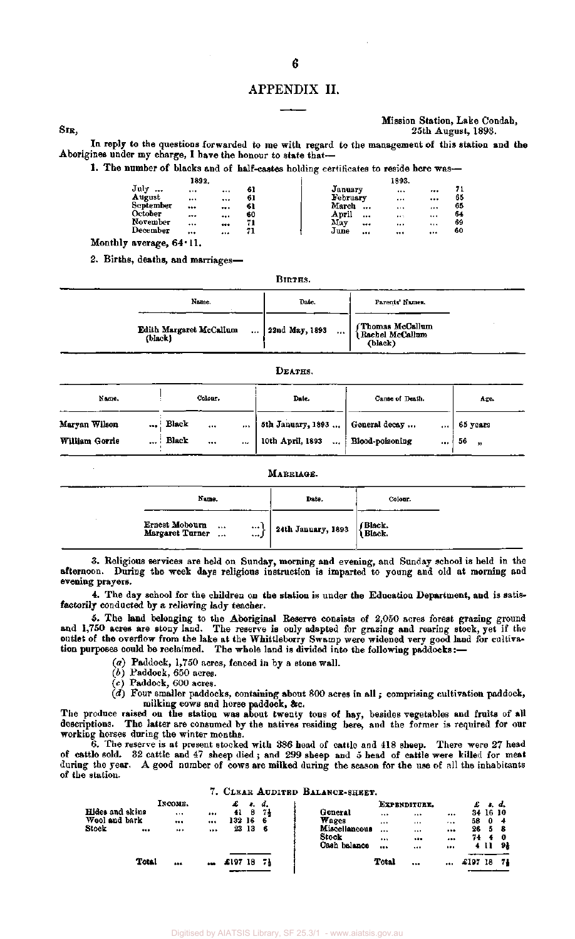## APPENDIX II.

**6** 

### Mission Station, Lake Condah, SIR, 25th August, 1893.

In reply to the questions forwarded to me with regard to the management of this station and the Aborigines under my charge, I have the honour to state that-

1. The number of blacks and of half-castes holding certificates to reside here was-

|                   | 1892.        |        |                   | 1893.    |        |
|-------------------|--------------|--------|-------------------|----------|--------|
| July<br>          |              | <br>61 | January           |          | <br>71 |
| August            |              | <br>61 | February          |          | <br>65 |
| September         |              | <br>61 | March<br>         | $\cdots$ | <br>65 |
| October           |              | <br>60 | April<br>$\cdots$ | $8 + 5$  | <br>64 |
| November          |              | <br>71 | May<br>           |          | <br>69 |
| December          |              | <br>71 | June<br>          |          | <br>60 |
| $- - - - - - - -$ | <b>CA.11</b> |        |                   |          |        |

Monthly average, 64.11.

2. Births, deaths, and marriages-

|                                                  | Births.                    |                                                   |
|--------------------------------------------------|----------------------------|---------------------------------------------------|
| Name.                                            | Date.                      | Parents' Names.                                   |
| Edith Margaret McCallum<br>$\sim 100$<br>(black) | 22nd May, 1893<br>$\cdots$ | f Thomas McCallum<br>  Rachel McCallum<br>(black) |

### DEATHS.

| Name.                           | Colour. |                                    | Date. | Cause of Death. | Age.                                                               |                         |                      |
|---------------------------------|---------|------------------------------------|-------|-----------------|--------------------------------------------------------------------|-------------------------|----------------------|
| Maryan Wilson<br>William Gorrie |         | $\ldots$ Black<br>$\ldots$ : Black | <br>  | $\bullet$       | 5th January, 1893    General decay<br>10th April, 1893<br>$\cdots$ | <br>Blood-poisoning<br> | 65 years<br>56<br>99 |

| Name.                                                      | Date.              | Colour.           |
|------------------------------------------------------------|--------------------|-------------------|
| Ernest Mobourn<br><br><br>Margaret Turner<br>$\ddotsc$<br> | 24th January, 1893 | (Black.<br>Black. |

3. Religious services are held on Sunday, morning and evening, and Sunday school is held in the afternoon. During the week days religious instruction is imparted to young and old at morning and evening prayers.

4. The day school for the children on the station is under the Education Department, and is satisfactorily conducted by a relieving lady teacher.

5. The land belonging to the Aboriginal Reserve consists of 2,050 acres forest grazing ground and 1,750 acres are stony land. The reserve is only adapted for grazing and rearing stock, yet if the outlet of the overflow from the lake at the Whittleborry Swamp were widened very good land for cultivation purposes could be reclaimed. The whole land is divided into the following paddocks:—

- *(a)* Paddock, 1,750 acres, fenced in by a stone wall.
- *(b)* Paddock, 650 acres.
- (c) Paddock, 600 acres.
- (d) Four smaller paddocks, containing about 800 acres in all ; comprising cultivation paddock, milking cows and horse paddock, &c.

The produce raised on the station was about twenty tons of hay, besides vegetables and fruits of all descriptions. The latter are consumed by the natives residing here, and the former is required for our working horses during the winter months.

6. The reserve is at present stocked with 386 head of cattle and 418 sheep. There were 27 head of cattle sold. 32 cattle and 47 sheep died; and 299 sheep and 5 head of cattle were killed for meat during the year. A good number of cows are milked during the season for the use of all the inhabitants of the station.

## 7. CLEAR AUDITED BALANCE-SHEET.

|                 |       | Інсоме.  |           |        | з.  |    |                   | EXPENDITURE. |          |      |          | d.  |  |
|-----------------|-------|----------|-----------|--------|-----|----|-------------------|--------------|----------|------|----------|-----|--|
| Hides and skins |       | $\cdots$ |           | 41     | 8   | 71 | $\cdots$          |              |          |      | 34 16 10 |     |  |
| Wool and bark   |       |          |           | 132 16 |     | -6 | $\cdots$          |              | $-$      | 58   | 0        | -4  |  |
| Stock           | $$    |          |           | 23     | -13 | -6 | Miscellaneous<br> |              |          | 26   | 5        | - 8 |  |
|                 |       |          |           |        |     |    |                   |              | $\cdots$ | 74.  |          | 40  |  |
|                 |       |          |           |        |     |    | Cash balance<br>  |              | $\cdots$ |      | 411      | 91  |  |
|                 | Total | $***$    | $\bullet$ | £197   | 18  | 71 | Total             |              |          | £197 | 18       | 74  |  |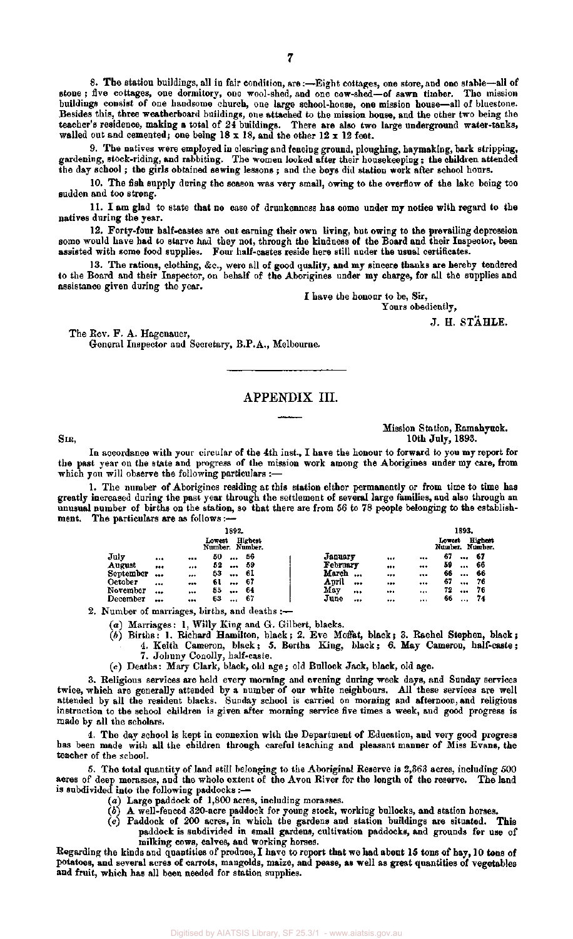8. The station buildings, all in fair condition, are:—Eight cottages, one store, and one stable—all of stone ; five cottages, one dormitory, one wool-shed, and one cow-shed—of sawn timber. The mission buildings consist of one handsome church, one large school-house, one mission house—all of bluestone. Besides this, three weatherboard buildings, one attached to the mission house, and the other two being the teacher's residence, making a total of 24 buildings. There are also two large underground water-tanks, walled out and cemented; one being  $18 \times 18$ , and the other  $12 \times 12$  feet.

9. The natives were employed in clearing and fencing ground, ploughing, haymaking, bark stripping, gardening, stock-riding, and rabbiting. The women looked after their housekeeping; the children attended the day school ; the girls obtained sewing lessons ; and the boys did station work after school hours.

10. The fish supply during the season was very small, owing to the overflow of the lake being too sudden and too strong.

11. I am glad to state that no case of drunkenness has come under my notice with regard to the natives during the year.

12. Forty-four half-castes are out earning their own living, but owing to the prevailing depression some would have had to starve had they not, through the kindness of the Board and their Inspector, been assisted with some food supplies. Four half-castes reside here still under the usual certificates.

13. The rations, clothing, &c, were all of good quality, and my sincere thanks are hereby tendered to the Board and their Inspector, on behalf of the Aborigines under my charge, for all the supplies and assistance given during the year.

I have the honour to be, Sir,

Yours obediently,

J. H. STAHLE.

The Rev. F. A. Hagenauer, General Inspector and Secretary, B.P.A., Melbourne.

## APPENDIX III.

Mission Station, Ramahyuck. Six, 10th July, 1893.

In accordance with your circular of the 4th inst., I have the honour to forward to you my report for the past year on the state and progress of the mission work among the Aborigines under my care, from which you will observe the following particulars :—

1. The number of Aborigines residing at this station either permanently or from time to time has greatly increased during the past year through the settlement of several large families, and also through an unusual number of births on the station, so that there are from 56 to 78 people belonging to the establishment. The particulars are as follows:—

|           |              | 1892.                     |                |       |          |       |     |        | 1893.    |                                   |
|-----------|--------------|---------------------------|----------------|-------|----------|-------|-----|--------|----------|-----------------------------------|
|           |              | Lowest<br>Number, Number. | <b>Highest</b> |       |          |       |     | Lowest |          | <b>Highest</b><br>Number. Number. |
| July      | <br>$\cdots$ | 50<br>                    | 56             |       | January  |       |     | 67     | $$       | -67                               |
| August    | <br>         | 52<br>                    | -59            |       | February | $***$ |     | 59     |          | 66                                |
| September | <br>         | 53<br>                    | 61             | March |          |       |     | 66     | $\cdots$ | 66                                |
| October   | <br>         | 61<br>                    | -67            | April |          |       |     | 67     | $$       | 76                                |
| November  | <br>         | 55<br>                    | -64            | May   |          |       |     | 72     |          | 76                                |
| December  | <br>         | 63<br>$***$               | 67             | June  |          |       | 577 | 66     | $\cdots$ | 74                                |

2. Number of marriages, births, and deaths :—

- *(a)* Marriages: 1, Willy King and G. Gilbert, blacks.
- $(b)$  Births: 1. Richard Hamilton, black; 2. Eve Moffat, black; 3. Rachel Stephen, black; 4. Keith Cameron, black; 5. Bertha King, black; 6. May Cameron, half-caste; 7. Johnny Conolly, half-caste,
- (c) Deaths: Mary Clark, black, old age; old Bullock Jack, black, old age.

3. Religious services are held every morning and evening during week days, and Sunday services twice, which are generally attended by a number of our white neighbours. All these services are well attended by all the resident blacks. Sunday school is carried on morning and afternoon, and religious instruction to the school children is given after morning service five times a week, and good progress is made by all the scholars.

4. The day school is kept in connexion with the Department of Education, and very good progress has been made with all the children through careful teaching and pleasant manner of Miss Evans, the teacher of the school.

5. The total quantity of land still belonging to the Aboriginal Reserve is 2,363 acres, including 500 acres of deep morasses, and the whole extent of the Avon River for the length of the reserve. The land is subdivided into the following paddocks :—

- (a) Large paddock of 1,800 acres, including morasses.
- (6) A well-fenced 320-acre paddock for young stock, working bullocks, and station horses,
- (c) Paddock of 200 acres, in which the gardens and station buildings are situated. This paddock is subdivided in small gardens, cultivation paddocks, and grounds for use of milking cows, calves, and working horses.

Regarding the kinds and quantities of produce, I have to report that we had about 15 tons of hay, 10 tons of potatoes, and several acres of carrots, mangolds, maize, and pease, as well as great quantities of vegetables and fruit, which has all been needed for station supplies.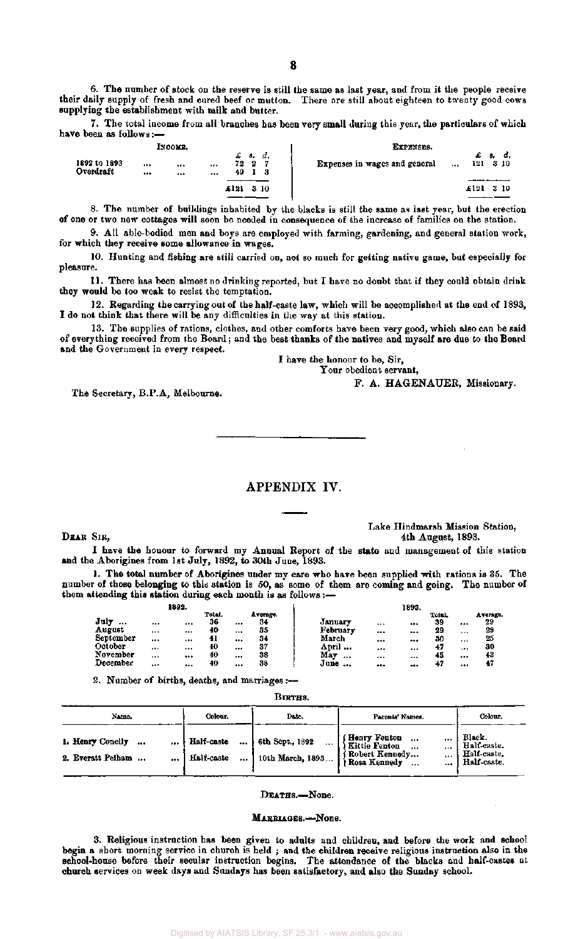6. The number of stock on the reserve is still the same as last year, and from it the people receive their daily supply of fresh and cured beef or mutton. There are still about eighteen to twenty good cows supplying the establishment with milk and butter.

7. The total income from all branches has been very small during this year, the particulars of which have been as follows:—

|                           | Іхсоми.      |              |                             |     |          |  | EXPENSES.                            |         |          |     |              |
|---------------------------|--------------|--------------|-----------------------------|-----|----------|--|--------------------------------------|---------|----------|-----|--------------|
| 1892 to 1893<br>Overdraft | <br><br><br> | <br>$\cdots$ | $\pounds$ s. d.<br>72<br>49 | - 2 | ÷,<br>-3 |  | <b>Expenses in wages and general</b> | $1 + 1$ | £<br>121 | . . | d.<br>- 3 IO |
|                           |              |              | £121                        |     | 3 IO     |  |                                      |         | £121     |     | - 310        |
|                           |              |              |                             |     |          |  |                                      |         |          |     |              |

8. The number of buildings inhabited by the blacks is still the same as last year, but the erection of one or two new cottages will soon be needed in consequence of the increase of families on the station.

9. All able-bodied men and boys are employed with farming, gardening, and general station work, for which they receive some allowance in wages.

10. Hunting and fishing are still carried on, not so much for getting native game, but especially for pleasure.

11. There has been almost no drinking reported, but I have no doubt that if they could obtain drink they would be too weak to resist the temptation.

12. Regarding the carrying out of the half-caste law, which will be accomplished at the end of 1893, I do not think that there will be any difficulties in the way at this station.

13. The supplies of rations, clothes, and other comforts have been very good, which also can be said of everything received from the Board: and the best thanks of the natives and myself are due to the Board and the Government in every respect.

I have the honour to be, Sir,

Your obedient servant,

F. A. HAGENAUER, Missionary.

The Secretary, B.P.A, Melbourne.

## APPENDIX IV.

Lake Hindmarsh Mission Station, DEAR SIR, 4th August, 1893.

I have the honour to forward my Annual Report of the state and management of this station and the Aborigines from 1st July, 1892, to 30th June, 1893.

1. The total number of Aborigines under my care who have been supplied with rations is 35. The number of those belonging to this station is 50, as some of them are coming and going. The number of them attending this station during each month is as follows :-

|                              |          | 1892.    |        |          |          |          | 1893. |        |    |          |
|------------------------------|----------|----------|--------|----------|----------|----------|-------|--------|----|----------|
|                              |          |          | Total. | Average. |          |          |       | Total. |    | Average. |
| $\mathbf{Jul}\mathbf{v}$<br> |          | $\cdots$ | 36     | <br>34   | January  | $***$    |       | 39     | $$ | 29       |
| August                       |          | $\cdots$ | 40     | <br>35   | February | $\cdots$ |       | 29     |    | 29       |
| September                    |          |          | 41     | <br>34   | March    |          |       | 30     |    | 25       |
| October                      |          | $1 + 4$  | 40     | <br>37   | April    |          |       | 47     |    | 30       |
| November                     |          |          | 40     | <br>38   | May<br>  |          |       | 45     |    | 43       |
| December                     | $\cdots$ |          | 40     | <br>38   | June     |          | $***$ | 47     |    | 47       |

2. Number of births, deaths, and marriages :—

**BIDTHS** 

| Name.                                                     | Colour.                      | Date.                               | Parents' Names.                                                                                                     | Colour.                                             |
|-----------------------------------------------------------|------------------------------|-------------------------------------|---------------------------------------------------------------------------------------------------------------------|-----------------------------------------------------|
| 1. Henry Conelly<br>$\cdots$<br><br>2. Everatt Pelham<br> | Half-caste<br><br>Half-caste | 6th Sept., 1892<br>10th March, 1893 | Henry Fenton<br>$\cdots$<br><br>, Kittie Fenton<br>$\cdots$<br><br>í Robert Kennedy<br>$\cdots$<br>Rosa Kennedy<br> | Black.<br>Half-caste.<br>Half-caste.<br>Half-caste. |

### DEATHS.—None.

### MARRIAGES.-None.

3. Religious instruction has been given to adults and children, and before the work and school begin a short morning service in church is held ; and the children receive religious instruction also in the school-house before their secular instruction begins. The attendance of the blacks and half-castes at church services on week days and Sundays has been satisfactory, and also the Sunday school.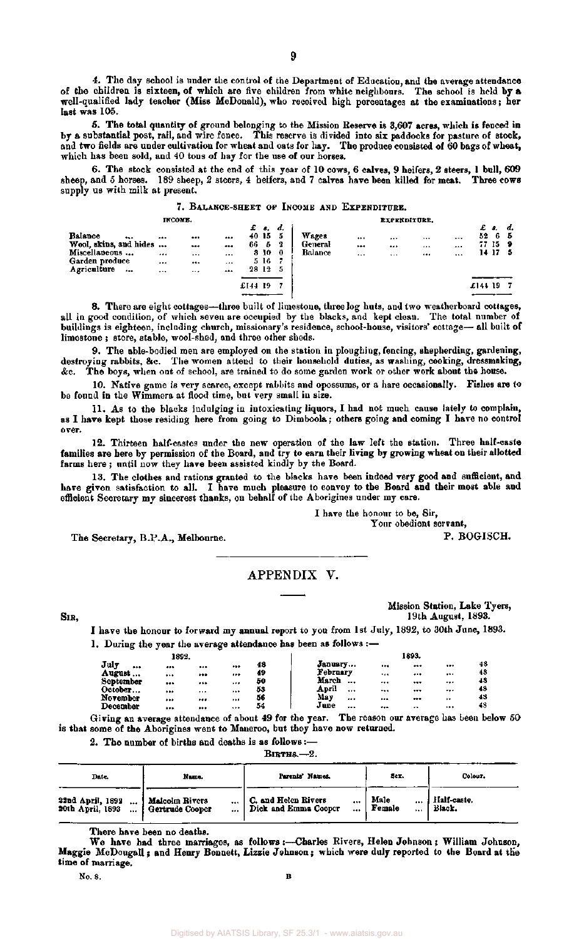4. The day school is under the control of the Department of Education, and the average attendance of the children is sixteen, of which are five children from white neighbours. The school is held by a well-qualified lady teacher (Miss McDonald), who received high percentages at the examinations; her last was 105.

5. The total quantity of ground belonging to the Mission Reserve is 3,607 acres, which is fenced in by a substantial post, rail, and wire fence. This reserve is divided into six paddocks for pasture of stock, and two fields are under cultivation for wheat and oats for hay. The produce consisted of 60 bags of wheat, which has been sold, and 40 tons of hay for the use of our horses.

6. The stock consisted at the end of this year of 10 cows, 6 calves, 9 heifers, 2 steers, 1 bull, 609 sheep, and 5 horses. 189 sheep, 2 steers, 4 heifers, and 7 calves have been killed for meat. Three cows supply us with milk at present.

|                        |    |          |   |         |       |     | 7. BALANCE-SHEET OF INCOME AND EXPENDITURE. |                     |       |          |        |         |      |
|------------------------|----|----------|---|---------|-------|-----|---------------------------------------------|---------------------|-------|----------|--------|---------|------|
|                        |    | INCOME.  |   |         | £ s.  | d.  |                                             | <b>EXPENDITURE.</b> |       |          | £      | я.      | - d. |
| Balance<br>            |    |          |   |         | 40 15 | -5  | Wages                                       | <br>                | $***$ | $\cdots$ | 52     | 65      |      |
| Wool, skins, and hides |    |          |   | 66      | - 5   | 2   | General                                     | <br>                | $***$ |          |        | 77 15 9 |      |
| Miscellaneous          |    |          |   |         | 3 10  | - 0 | Balance                                     | <br>1.1             |       |          |        | 14175   |      |
| Garden produce         | $$ |          | . |         | 516   | -7  |                                             |                     |       |          |        |         |      |
| Agriculture<br>        |    | $\cdots$ |   |         | 28 12 | 5   |                                             |                     |       |          |        |         |      |
|                        |    |          |   | £144 19 |       |     |                                             |                     |       |          | £14419 |         |      |
|                        |    |          |   |         |       |     |                                             |                     |       |          |        |         |      |

8. There are eight cottages—three built of limestone, three log huts, and two weatherboard cottages, all in good condition, of which seven are occupied by the blacks, and kept clean. The total number of buildings is eighteen, including church, missionary's residence, school-house, visitors' cottage— all built of limestone ; store, stable, wool-shed, and three other sheds.

9. The able-bodied men are employed on the station in ploughing, fencing, shepherding, gardening, destroying rabbits, &c. The women attend to their household duties, as washing, cooking, dressmaking, &c. The boys, when out of school, are trained to do some garden work or other work about the house.

10. Native game is very scarce, except rabbits and opossums, or a hare occasionally. Fishes are to be found in the Wimmera at flood time, but very small in size.

11. As to the blacks indulging in intoxicating liquors, I had not much cause lately to complain, as I have kept those residing here from going to Dimboola; others going and coming I have no control over.

12. Thirteen half-castes under the new operation of the law left the station. Three half-caste families are here by permission of the Board, and try to earn their living by growing wheat on their allotted farms here ; until now they have been assisted kindly by the Board.

13. The clothes and rations granted to the blacks have been indeed very good and sufficient, and have given satisfaction to all. I have much pleasure to convey to the Board and their most able and efficient Secretary my sincerest thanks, on behalf of the Aborigines under my care.

> I have the honour to be, Sir, Your obedient servant,

The Secretary, B.P.A., Melbourne.

## APPENDIX V.

SIR,

Mission Station, Lake Tyers, 19th August, 1893.

P. BOGISCH.

I have the honour to forward my annual report to you from 1st July, 1892, to 30th June, 1893. 1. During the year the average attendance has been as follows :—

|                     | 1892. |      |              |                   |              | 1893.           |              |
|---------------------|-------|------|--------------|-------------------|--------------|-----------------|--------------|
| July<br>            |       | $$   | <br>48       | January           |              | <br>            | <br>48       |
| August<br>September |       |      | <br>49<br>50 | February<br>March |              | <br>            | <br>48<br>48 |
| October             | <br>  | <br> | <br><br>53   | April             | $\cdots$<br> | <br><br>***<br> | <br><br>48   |
| November            |       |      | <br>56       | May               | $$           | <br>            | <br>45       |
| December            |       |      | <br>54       | June              | $\cdots$     | <br>            | <br>48       |

Giving an average attendance of about 49 for the year. The reason our average has been below 50 is that some of the Aborigines went to Maneroo, but they have now returned.

2. The number of births and deaths is as follows:—

| Date.                                                                    | Name.                             | Parents' Names.                                             | Sex.                   | Colour.               |
|--------------------------------------------------------------------------|-----------------------------------|-------------------------------------------------------------|------------------------|-----------------------|
| 22nd April, 1892<br>20th April, 1893<br>$\cdots$<br>$\ddot{\phantom{a}}$ | Malcolm Rivers<br>Gertrude Cooper | C. and Helen Rivers<br><br>Dick and Emma Cooper<br>$\cdots$ | Male<br><br>Female<br> | Half-caste.<br>Black. |

There have been no deaths.

We have had three marriages, as follows :—Charles Rivers, Helen Johnson ; William Johnson, Maggie McDougall; and Henry Bennett, Lizzie Johnson; which were duly reported to the Board at the time of marriage.

No. 8. **B**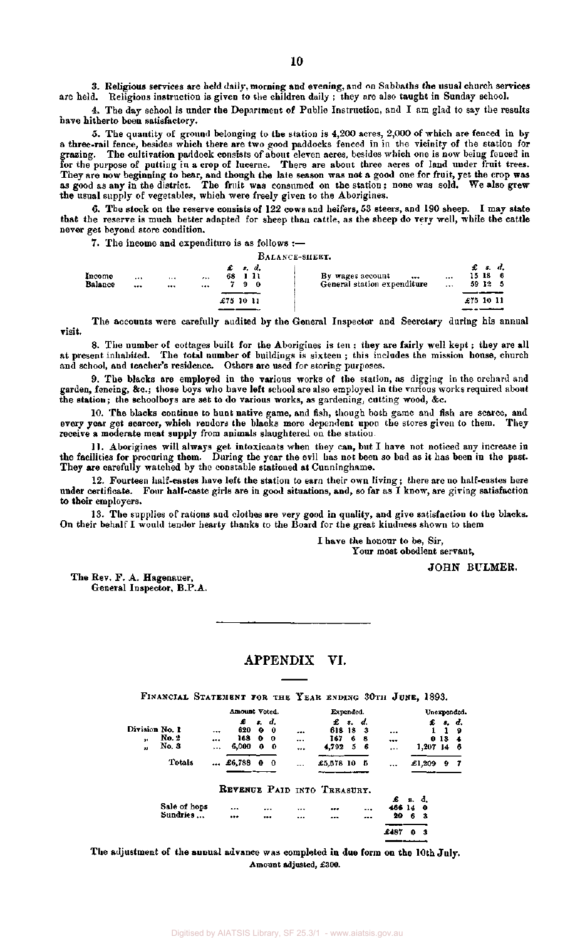3. Religious services are held daily, morning and evening, and on Sabbaths the usual church services are held. Religious instruction is given to the children daily ; they are also taught in Sunday school.

4. The day school is under the Department of Public Instruction, and I am glad to say the results have hitherto been satisfactory.

5. The quantity of ground belonging to the station is 4,200 acres, 2,000 of which are fenced in by a three-rail fence, besides which there are two good paddocks fenced in in the vicinity of the station for grazing. The cultivation paddock consists of about eleven acres, besides which one is now being fenced in for the purpose of putting in a crop of lucerne. There are about three acres of land under fruit trees. They are now beginning to bear, and though the late season was not a good one for fruit, yet the crop was as good as any in the district. The fruit was consumed on the station; none was sold. We also grew the usual supply of vegetables, which were freely given to the Aborigines.

6. The stock on the reserve consists of 122 cows and heifers, 53 steers, and 190 sheep. I may state that the reserve is much better adapted for sheep than cattle, as the sheep do very well, while the cattle never get beyond store condition.

7. The income and expenditure is as follows :—

|                   |                  |              |                   |   |             | BALANCE-SHEET.                                      |              |                  |                |  |
|-------------------|------------------|--------------|-------------------|---|-------------|-----------------------------------------------------|--------------|------------------|----------------|--|
| Income<br>Balance | <br><br>1.14<br> | $\cdots$<br> | £ s.d.<br>68 I II | 9 | $\mathbf 0$ | By wages account<br><br>General station expenditure | $\cdots$<br> | 15 18<br>59 12 5 | $\pounds$ s.d. |  |
|                   |                  |              | £75 10 11         |   |             |                                                     |              | £75 10 11        |                |  |

The accounts were carefully audited by the General Inspector and Secretary during his annual visit.

8. The number of cottages built for the Aborigines is ten ; they are fairly well kept; they are all at present inhabited. The total number of buildings is sixteen ; this includes the mission house, church and school, and teacher's residence. Others are used for storing purposes.

9. The blacks are employed in the various works of the station, as digging in the orchard and garden, fencing, &c ; those boys who have left school are also employed in the various works required about the station; the schoolboys are set to do various works, as gardening, cutting wood, &c.

10. The blacks continue to hunt native game, and fish, though both game and fish are scarce, and every year get scarcer, which renders the blacks more dependent upon the stores given to them. They receive a moderate meat supply from animals slaughtered on the station.

11. Aborigines will always get intoxicants when they can, but I have not noticed any increase in the facilities for procuring them. During the year the evil has not been so bad as it has been in the past. They are carefully watched by the constable stationed at Cunninghame.

12. Fourteen half-castes have left the station to earn their own living; there are no half-castes here under certificate. Four half-caste girls are in good situations, and, so far as I know, are giving satisfaction to their employers.

13. The supplies of rations and clothes are very good in quality, and give satisfaction to the blacks. On their behalf I would tender hearty thanks to the Board for the great kindness shown to them

I have the honour to be, Sir,

Your most obedient servant,

JOHN BULMER.

The Rev. F. A. Hagenauer, General Inspector, B.P.A.

## APPENDIX VI.

|                            | FINANCIAL STATEMENT FOR THE YEAR ENDING 30TH JUNE, 1893. |                         |                          |                             |                               |                     |                                |        |                        |                      |         |              |                       |                      |
|----------------------------|----------------------------------------------------------|-------------------------|--------------------------|-----------------------------|-------------------------------|---------------------|--------------------------------|--------|------------------------|----------------------|---------|--------------|-----------------------|----------------------|
|                            |                                                          |                         | Amount Voted.            |                             |                               |                     | Expended.                      |        |                        |                      |         |              |                       | Unexpended.          |
| Division No. 1<br>39<br>22 | No. 2<br>No. 3                                           | ***<br><br>$\cdots$     | £<br>620<br>168<br>6,000 | s.<br>0<br>$\mathbf o$<br>0 | d.<br>-0<br>0<br>$\mathbf{0}$ | ---<br><br>$\cdots$ | £ 8.<br>618 18<br>167<br>4,792 | 6<br>5 | d.<br>- 3<br>-8<br>- 6 | $-$<br><br>$\cdot$ . |         | £<br>1,207   | 0 <sub>13</sub><br>14 | s. d.<br>9<br>4<br>6 |
|                            | Totals                                                   | $\bullet\bullet\bullet$ | £6,788                   | 0                           | $\mathbf 0$                   |                     | £5,578 10                      |        | - 5                    |                      |         | £1,209       | 9.                    | - 7                  |
|                            |                                                          |                         |                          |                             |                               |                     | REVENUE PAID INTO TREASURY.    |        |                        |                      |         |              |                       |                      |
|                            | Sale of hops<br>Sundries                                 |                         | <br>                     |                             | <br>                          | <br>                | <br>                           |        | $\cdots$<br>           | £<br>466 14<br>20    | я.<br>6 | đ.<br>o<br>3 |                       |                      |
|                            |                                                          |                         |                          |                             |                               |                     |                                |        |                        | £487                 | 0       | 3            |                       |                      |

The adjustment of the aunual advance was completed in due form on the 10th July. Amount adjusted, £300.